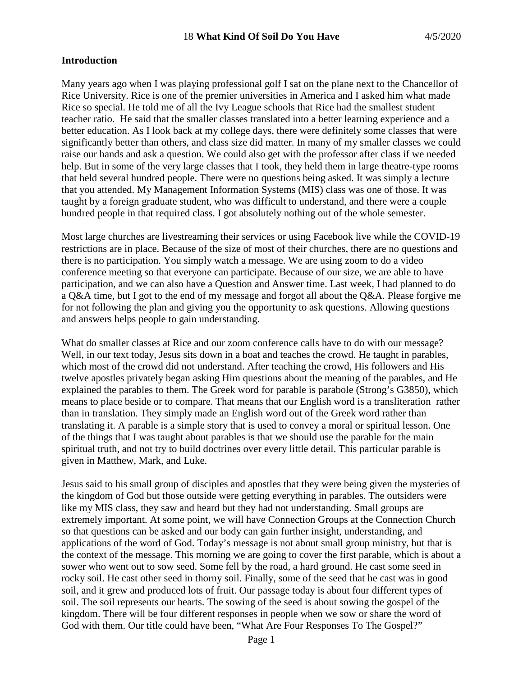### **Introduction**

Many years ago when I was playing professional golf I sat on the plane next to the Chancellor of Rice University. Rice is one of the premier universities in America and I asked him what made Rice so special. He told me of all the Ivy League schools that Rice had the smallest student teacher ratio. He said that the smaller classes translated into a better learning experience and a better education. As I look back at my college days, there were definitely some classes that were significantly better than others, and class size did matter. In many of my smaller classes we could raise our hands and ask a question. We could also get with the professor after class if we needed help. But in some of the very large classes that I took, they held them in large theatre-type rooms that held several hundred people. There were no questions being asked. It was simply a lecture that you attended. My Management Information Systems (MIS) class was one of those. It was taught by a foreign graduate student, who was difficult to understand, and there were a couple hundred people in that required class. I got absolutely nothing out of the whole semester.

Most large churches are livestreaming their services or using Facebook live while the COVID-19 restrictions are in place. Because of the size of most of their churches, there are no questions and there is no participation. You simply watch a message. We are using zoom to do a video conference meeting so that everyone can participate. Because of our size, we are able to have participation, and we can also have a Question and Answer time. Last week, I had planned to do a Q&A time, but I got to the end of my message and forgot all about the Q&A. Please forgive me for not following the plan and giving you the opportunity to ask questions. Allowing questions and answers helps people to gain understanding.

What do smaller classes at Rice and our zoom conference calls have to do with our message? Well, in our text today, Jesus sits down in a boat and teaches the crowd. He taught in parables, which most of the crowd did not understand. After teaching the crowd, His followers and His twelve apostles privately began asking Him questions about the meaning of the parables, and He explained the parables to them. The Greek word for parable is parabole (Strong's G3850), which means to place beside or to compare. That means that our English word is a transliteration rather than in translation. They simply made an English word out of the Greek word rather than translating it. A parable is a simple story that is used to convey a moral or spiritual lesson. One of the things that I was taught about parables is that we should use the parable for the main spiritual truth, and not try to build doctrines over every little detail. This particular parable is given in Matthew, Mark, and Luke.

Jesus said to his small group of disciples and apostles that they were being given the mysteries of the kingdom of God but those outside were getting everything in parables. The outsiders were like my MIS class, they saw and heard but they had not understanding. Small groups are extremely important. At some point, we will have Connection Groups at the Connection Church so that questions can be asked and our body can gain further insight, understanding, and applications of the word of God. Today's message is not about small group ministry, but that is the context of the message. This morning we are going to cover the first parable, which is about a sower who went out to sow seed. Some fell by the road, a hard ground. He cast some seed in rocky soil. He cast other seed in thorny soil. Finally, some of the seed that he cast was in good soil, and it grew and produced lots of fruit. Our passage today is about four different types of soil. The soil represents our hearts. The sowing of the seed is about sowing the gospel of the kingdom. There will be four different responses in people when we sow or share the word of God with them. Our title could have been, "What Are Four Responses To The Gospel?"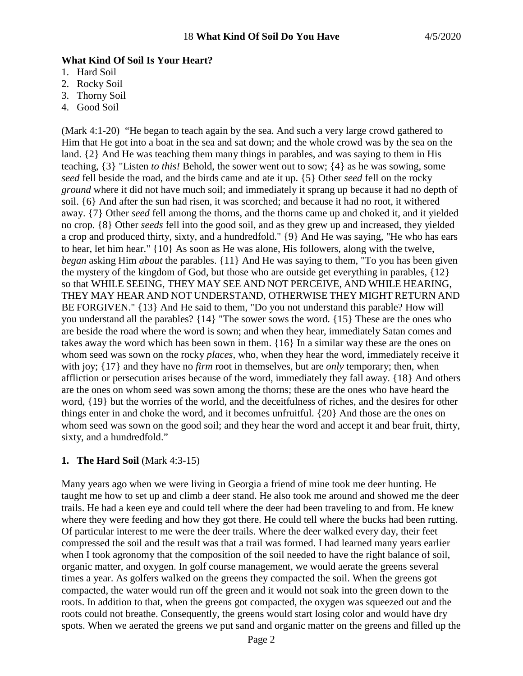### **What Kind Of Soil Is Your Heart?**

- 1. Hard Soil
- 2. Rocky Soil
- 3. Thorny Soil
- 4. Good Soil

(Mark 4:1-20) "He began to teach again by the sea. And such a very large crowd gathered to Him that He got into a boat in the sea and sat down; and the whole crowd was by the sea on the land. {2} And He was teaching them many things in parables, and was saying to them in His teaching, {3} "Listen *to this!* Behold, the sower went out to sow; {4} as he was sowing, some *seed* fell beside the road, and the birds came and ate it up. {5} Other *seed* fell on the rocky *ground* where it did not have much soil; and immediately it sprang up because it had no depth of soil. {6} And after the sun had risen, it was scorched; and because it had no root, it withered away. {7} Other *seed* fell among the thorns, and the thorns came up and choked it, and it yielded no crop. {8} Other *seeds* fell into the good soil, and as they grew up and increased, they yielded a crop and produced thirty, sixty, and a hundredfold." {9} And He was saying, "He who has ears to hear, let him hear." {10} As soon as He was alone, His followers, along with the twelve, *began* asking Him *about* the parables. {11} And He was saying to them, "To you has been given the mystery of the kingdom of God, but those who are outside get everything in parables, {12} so that WHILE SEEING, THEY MAY SEE AND NOT PERCEIVE, AND WHILE HEARING, THEY MAY HEAR AND NOT UNDERSTAND, OTHERWISE THEY MIGHT RETURN AND BE FORGIVEN." {13} And He said to them, "Do you not understand this parable? How will you understand all the parables? {14} "The sower sows the word. {15} These are the ones who are beside the road where the word is sown; and when they hear, immediately Satan comes and takes away the word which has been sown in them. {16} In a similar way these are the ones on whom seed was sown on the rocky *places,* who, when they hear the word, immediately receive it with joy; {17} and they have no *firm* root in themselves, but are *only* temporary; then, when affliction or persecution arises because of the word, immediately they fall away. {18} And others are the ones on whom seed was sown among the thorns; these are the ones who have heard the word, {19} but the worries of the world, and the deceitfulness of riches, and the desires for other things enter in and choke the word, and it becomes unfruitful. {20} And those are the ones on whom seed was sown on the good soil; and they hear the word and accept it and bear fruit, thirty, sixty, and a hundredfold."

## **1. The Hard Soil** (Mark 4:3-15)

Many years ago when we were living in Georgia a friend of mine took me deer hunting. He taught me how to set up and climb a deer stand. He also took me around and showed me the deer trails. He had a keen eye and could tell where the deer had been traveling to and from. He knew where they were feeding and how they got there. He could tell where the bucks had been rutting. Of particular interest to me were the deer trails. Where the deer walked every day, their feet compressed the soil and the result was that a trail was formed. I had learned many years earlier when I took agronomy that the composition of the soil needed to have the right balance of soil, organic matter, and oxygen. In golf course management, we would aerate the greens several times a year. As golfers walked on the greens they compacted the soil. When the greens got compacted, the water would run off the green and it would not soak into the green down to the roots. In addition to that, when the greens got compacted, the oxygen was squeezed out and the roots could not breathe. Consequently, the greens would start losing color and would have dry spots. When we aerated the greens we put sand and organic matter on the greens and filled up the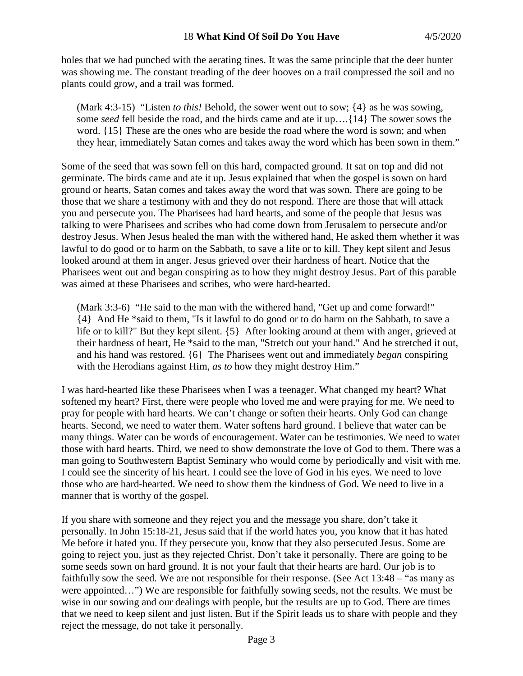holes that we had punched with the aerating tines. It was the same principle that the deer hunter was showing me. The constant treading of the deer hooves on a trail compressed the soil and no plants could grow, and a trail was formed.

(Mark 4:3-15) "Listen *to this!* Behold, the sower went out to sow; {4} as he was sowing, some *seed* fell beside the road, and the birds came and ate it up….{14} The sower sows the word. {15} These are the ones who are beside the road where the word is sown; and when they hear, immediately Satan comes and takes away the word which has been sown in them."

Some of the seed that was sown fell on this hard, compacted ground. It sat on top and did not germinate. The birds came and ate it up. Jesus explained that when the gospel is sown on hard ground or hearts, Satan comes and takes away the word that was sown. There are going to be those that we share a testimony with and they do not respond. There are those that will attack you and persecute you. The Pharisees had hard hearts, and some of the people that Jesus was talking to were Pharisees and scribes who had come down from Jerusalem to persecute and/or destroy Jesus. When Jesus healed the man with the withered hand, He asked them whether it was lawful to do good or to harm on the Sabbath, to save a life or to kill. They kept silent and Jesus looked around at them in anger. Jesus grieved over their hardness of heart. Notice that the Pharisees went out and began conspiring as to how they might destroy Jesus. Part of this parable was aimed at these Pharisees and scribes, who were hard-hearted.

(Mark 3:3-6) "He said to the man with the withered hand, "Get up and come forward!" {4} And He \*said to them, "Is it lawful to do good or to do harm on the Sabbath, to save a life or to kill?" But they kept silent. {5} After looking around at them with anger, grieved at their hardness of heart, He \*said to the man, "Stretch out your hand." And he stretched it out, and his hand was restored. {6} The Pharisees went out and immediately *began* conspiring with the Herodians against Him, *as to* how they might destroy Him."

I was hard-hearted like these Pharisees when I was a teenager. What changed my heart? What softened my heart? First, there were people who loved me and were praying for me. We need to pray for people with hard hearts. We can't change or soften their hearts. Only God can change hearts. Second, we need to water them. Water softens hard ground. I believe that water can be many things. Water can be words of encouragement. Water can be testimonies. We need to water those with hard hearts. Third, we need to show demonstrate the love of God to them. There was a man going to Southwestern Baptist Seminary who would come by periodically and visit with me. I could see the sincerity of his heart. I could see the love of God in his eyes. We need to love those who are hard-hearted. We need to show them the kindness of God. We need to live in a manner that is worthy of the gospel.

If you share with someone and they reject you and the message you share, don't take it personally. In John 15:18-21, Jesus said that if the world hates you, you know that it has hated Me before it hated you. If they persecute you, know that they also persecuted Jesus. Some are going to reject you, just as they rejected Christ. Don't take it personally. There are going to be some seeds sown on hard ground. It is not your fault that their hearts are hard. Our job is to faithfully sow the seed. We are not responsible for their response. (See Act 13:48 – "as many as were appointed…") We are responsible for faithfully sowing seeds, not the results. We must be wise in our sowing and our dealings with people, but the results are up to God. There are times that we need to keep silent and just listen. But if the Spirit leads us to share with people and they reject the message, do not take it personally.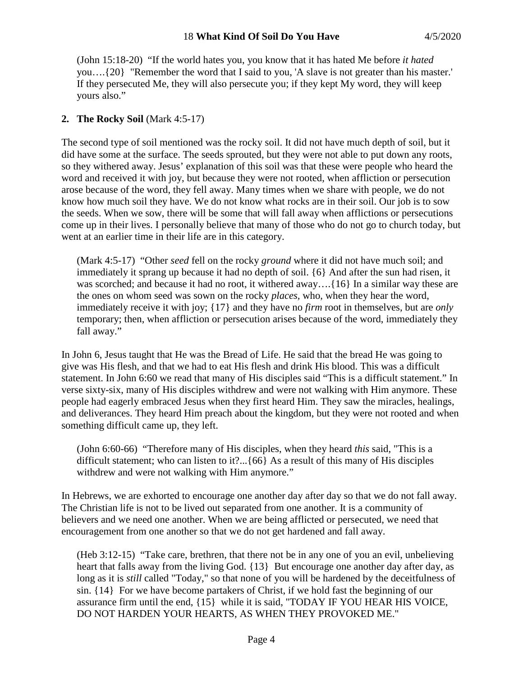(John 15:18-20) "If the world hates you, you know that it has hated Me before *it hated* you….{20} "Remember the word that I said to you, 'A slave is not greater than his master.' If they persecuted Me, they will also persecute you; if they kept My word, they will keep yours also."

# **2. The Rocky Soil** (Mark 4:5-17)

The second type of soil mentioned was the rocky soil. It did not have much depth of soil, but it did have some at the surface. The seeds sprouted, but they were not able to put down any roots, so they withered away. Jesus' explanation of this soil was that these were people who heard the word and received it with joy, but because they were not rooted, when affliction or persecution arose because of the word, they fell away. Many times when we share with people, we do not know how much soil they have. We do not know what rocks are in their soil. Our job is to sow the seeds. When we sow, there will be some that will fall away when afflictions or persecutions come up in their lives. I personally believe that many of those who do not go to church today, but went at an earlier time in their life are in this category.

(Mark 4:5-17) "Other *seed* fell on the rocky *ground* where it did not have much soil; and immediately it sprang up because it had no depth of soil. {6} And after the sun had risen, it was scorched; and because it had no root, it withered away….{16} In a similar way these are the ones on whom seed was sown on the rocky *places,* who, when they hear the word, immediately receive it with joy; {17} and they have no *firm* root in themselves, but are *only* temporary; then, when affliction or persecution arises because of the word, immediately they fall away."

In John 6, Jesus taught that He was the Bread of Life. He said that the bread He was going to give was His flesh, and that we had to eat His flesh and drink His blood. This was a difficult statement. In John 6:60 we read that many of His disciples said "This is a difficult statement." In verse sixty-six, many of His disciples withdrew and were not walking with Him anymore. These people had eagerly embraced Jesus when they first heard Him. They saw the miracles, healings, and deliverances. They heard Him preach about the kingdom, but they were not rooted and when something difficult came up, they left.

(John 6:60-66) "Therefore many of His disciples, when they heard *this* said, "This is a difficult statement; who can listen to it?...{66} As a result of this many of His disciples withdrew and were not walking with Him anymore."

In Hebrews, we are exhorted to encourage one another day after day so that we do not fall away. The Christian life is not to be lived out separated from one another. It is a community of believers and we need one another. When we are being afflicted or persecuted, we need that encouragement from one another so that we do not get hardened and fall away.

(Heb 3:12-15) "Take care, brethren, that there not be in any one of you an evil, unbelieving heart that falls away from the living God. {13} But encourage one another day after day, as long as it is *still* called "Today," so that none of you will be hardened by the deceitfulness of sin. {14} For we have become partakers of Christ, if we hold fast the beginning of our assurance firm until the end, {15} while it is said, "TODAY IF YOU HEAR HIS VOICE, DO NOT HARDEN YOUR HEARTS, AS WHEN THEY PROVOKED ME."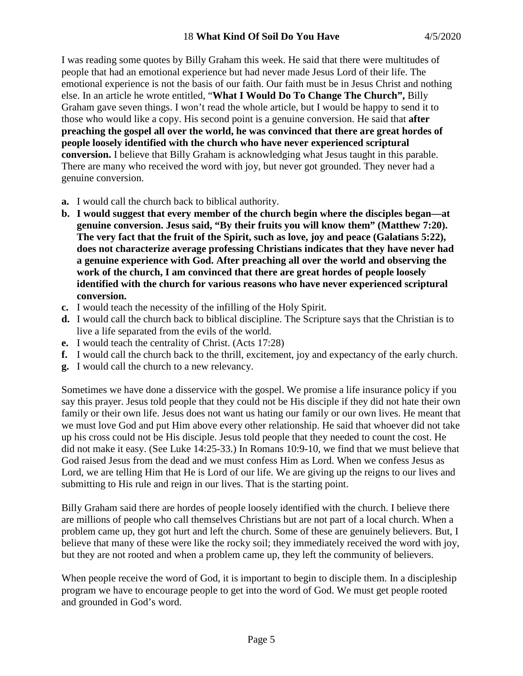I was reading some quotes by Billy Graham this week. He said that there were multitudes of people that had an emotional experience but had never made Jesus Lord of their life. The emotional experience is not the basis of our faith. Our faith must be in Jesus Christ and nothing else. In an article he wrote entitled, "**What I Would Do To Change The Church",** Billy Graham gave seven things. I won't read the whole article, but I would be happy to send it to those who would like a copy. His second point is a genuine conversion. He said that **after preaching the gospel all over the world, he was convinced that there are great hordes of people loosely identified with the church who have never experienced scriptural conversion.** I believe that Billy Graham is acknowledging what Jesus taught in this parable. There are many who received the word with joy, but never got grounded. They never had a genuine conversion.

- **a.** I would call the church back to biblical authority.
- **b. I would suggest that every member of the church begin where the disciples began—at genuine conversion. Jesus said, "By their fruits you will know them" (Matthew 7:20). The very fact that the fruit of the Spirit, such as love, joy and peace (Galatians 5:22), does not characterize average professing Christians indicates that they have never had a genuine experience with God. After preaching all over the world and observing the work of the church, I am convinced that there are great hordes of people loosely identified with the church for various reasons who have never experienced scriptural conversion.**
- **c.** I would teach the necessity of the infilling of the Holy Spirit.
- **d.** I would call the church back to biblical discipline. The Scripture says that the Christian is to live a life separated from the evils of the world.
- **e.** I would teach the centrality of Christ. (Acts 17:28)
- **f.** I would call the church back to the thrill, excitement, joy and expectancy of the early church.
- **g.** I would call the church to a new relevancy.

Sometimes we have done a disservice with the gospel. We promise a life insurance policy if you say this prayer. Jesus told people that they could not be His disciple if they did not hate their own family or their own life. Jesus does not want us hating our family or our own lives. He meant that we must love God and put Him above every other relationship. He said that whoever did not take up his cross could not be His disciple. Jesus told people that they needed to count the cost. He did not make it easy. (See Luke 14:25-33.) In Romans 10:9-10, we find that we must believe that God raised Jesus from the dead and we must confess Him as Lord. When we confess Jesus as Lord, we are telling Him that He is Lord of our life. We are giving up the reigns to our lives and submitting to His rule and reign in our lives. That is the starting point.

Billy Graham said there are hordes of people loosely identified with the church. I believe there are millions of people who call themselves Christians but are not part of a local church. When a problem came up, they got hurt and left the church. Some of these are genuinely believers. But, I believe that many of these were like the rocky soil; they immediately received the word with joy, but they are not rooted and when a problem came up, they left the community of believers.

When people receive the word of God, it is important to begin to disciple them. In a discipleship program we have to encourage people to get into the word of God. We must get people rooted and grounded in God's word.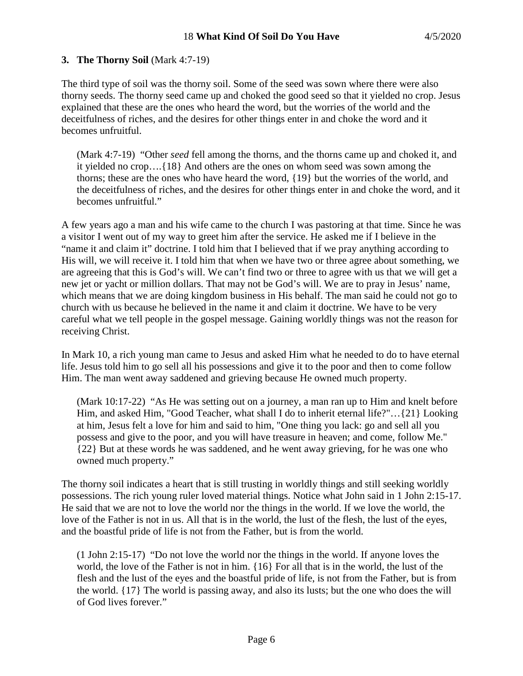# **3. The Thorny Soil** (Mark 4:7-19)

The third type of soil was the thorny soil. Some of the seed was sown where there were also thorny seeds. The thorny seed came up and choked the good seed so that it yielded no crop. Jesus explained that these are the ones who heard the word, but the worries of the world and the deceitfulness of riches, and the desires for other things enter in and choke the word and it becomes unfruitful.

(Mark 4:7-19) "Other *seed* fell among the thorns, and the thorns came up and choked it, and it yielded no crop….{18} And others are the ones on whom seed was sown among the thorns; these are the ones who have heard the word, {19} but the worries of the world, and the deceitfulness of riches, and the desires for other things enter in and choke the word, and it becomes unfruitful."

A few years ago a man and his wife came to the church I was pastoring at that time. Since he was a visitor I went out of my way to greet him after the service. He asked me if I believe in the "name it and claim it" doctrine. I told him that I believed that if we pray anything according to His will, we will receive it. I told him that when we have two or three agree about something, we are agreeing that this is God's will. We can't find two or three to agree with us that we will get a new jet or yacht or million dollars. That may not be God's will. We are to pray in Jesus' name, which means that we are doing kingdom business in His behalf. The man said he could not go to church with us because he believed in the name it and claim it doctrine. We have to be very careful what we tell people in the gospel message. Gaining worldly things was not the reason for receiving Christ.

In Mark 10, a rich young man came to Jesus and asked Him what he needed to do to have eternal life. Jesus told him to go sell all his possessions and give it to the poor and then to come follow Him. The man went away saddened and grieving because He owned much property.

(Mark 10:17-22) "As He was setting out on a journey, a man ran up to Him and knelt before Him, and asked Him, "Good Teacher, what shall I do to inherit eternal life?"…{21} Looking at him, Jesus felt a love for him and said to him, "One thing you lack: go and sell all you possess and give to the poor, and you will have treasure in heaven; and come, follow Me." {22} But at these words he was saddened, and he went away grieving, for he was one who owned much property."

The thorny soil indicates a heart that is still trusting in worldly things and still seeking worldly possessions. The rich young ruler loved material things. Notice what John said in 1 John 2:15-17. He said that we are not to love the world nor the things in the world. If we love the world, the love of the Father is not in us. All that is in the world, the lust of the flesh, the lust of the eyes, and the boastful pride of life is not from the Father, but is from the world.

(1 John 2:15-17) "Do not love the world nor the things in the world. If anyone loves the world, the love of the Father is not in him. {16} For all that is in the world, the lust of the flesh and the lust of the eyes and the boastful pride of life, is not from the Father, but is from the world. {17} The world is passing away, and also its lusts; but the one who does the will of God lives forever."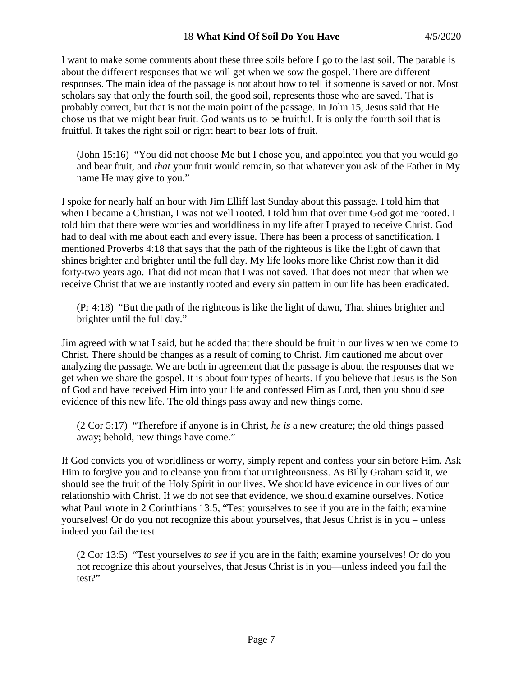### 18 **What Kind Of Soil Do You Have** 4/5/2020

I want to make some comments about these three soils before I go to the last soil. The parable is about the different responses that we will get when we sow the gospel. There are different responses. The main idea of the passage is not about how to tell if someone is saved or not. Most scholars say that only the fourth soil, the good soil, represents those who are saved. That is probably correct, but that is not the main point of the passage. In John 15, Jesus said that He chose us that we might bear fruit. God wants us to be fruitful. It is only the fourth soil that is fruitful. It takes the right soil or right heart to bear lots of fruit.

(John 15:16) "You did not choose Me but I chose you, and appointed you that you would go and bear fruit, and *that* your fruit would remain, so that whatever you ask of the Father in My name He may give to you."

I spoke for nearly half an hour with Jim Elliff last Sunday about this passage. I told him that when I became a Christian, I was not well rooted. I told him that over time God got me rooted. I told him that there were worries and worldliness in my life after I prayed to receive Christ. God had to deal with me about each and every issue. There has been a process of sanctification. I mentioned Proverbs 4:18 that says that the path of the righteous is like the light of dawn that shines brighter and brighter until the full day. My life looks more like Christ now than it did forty-two years ago. That did not mean that I was not saved. That does not mean that when we receive Christ that we are instantly rooted and every sin pattern in our life has been eradicated.

(Pr 4:18) "But the path of the righteous is like the light of dawn, That shines brighter and brighter until the full day."

Jim agreed with what I said, but he added that there should be fruit in our lives when we come to Christ. There should be changes as a result of coming to Christ. Jim cautioned me about over analyzing the passage. We are both in agreement that the passage is about the responses that we get when we share the gospel. It is about four types of hearts. If you believe that Jesus is the Son of God and have received Him into your life and confessed Him as Lord, then you should see evidence of this new life. The old things pass away and new things come.

(2 Cor 5:17) "Therefore if anyone is in Christ, *he is* a new creature; the old things passed away; behold, new things have come."

If God convicts you of worldliness or worry, simply repent and confess your sin before Him. Ask Him to forgive you and to cleanse you from that unrighteousness. As Billy Graham said it, we should see the fruit of the Holy Spirit in our lives. We should have evidence in our lives of our relationship with Christ. If we do not see that evidence, we should examine ourselves. Notice what Paul wrote in 2 Corinthians 13:5, "Test yourselves to see if you are in the faith; examine yourselves! Or do you not recognize this about yourselves, that Jesus Christ is in you – unless indeed you fail the test.

(2 Cor 13:5) "Test yourselves *to see* if you are in the faith; examine yourselves! Or do you not recognize this about yourselves, that Jesus Christ is in you—unless indeed you fail the test?"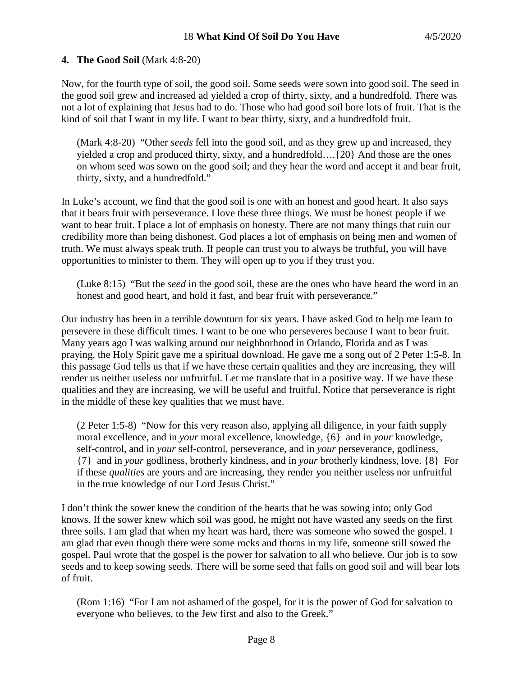# **4. The Good Soil** (Mark 4:8-20)

Now, for the fourth type of soil, the good soil. Some seeds were sown into good soil. The seed in the good soil grew and increased ad yielded a crop of thirty, sixty, and a hundredfold. There was not a lot of explaining that Jesus had to do. Those who had good soil bore lots of fruit. That is the kind of soil that I want in my life. I want to bear thirty, sixty, and a hundredfold fruit.

(Mark 4:8-20) "Other *seeds* fell into the good soil, and as they grew up and increased, they yielded a crop and produced thirty, sixty, and a hundredfold….{20} And those are the ones on whom seed was sown on the good soil; and they hear the word and accept it and bear fruit, thirty, sixty, and a hundredfold."

In Luke's account, we find that the good soil is one with an honest and good heart. It also says that it bears fruit with perseverance. I love these three things. We must be honest people if we want to bear fruit. I place a lot of emphasis on honesty. There are not many things that ruin our credibility more than being dishonest. God places a lot of emphasis on being men and women of truth. We must always speak truth. If people can trust you to always be truthful, you will have opportunities to minister to them. They will open up to you if they trust you.

(Luke 8:15) "But the *seed* in the good soil, these are the ones who have heard the word in an honest and good heart, and hold it fast, and bear fruit with perseverance."

Our industry has been in a terrible downturn for six years. I have asked God to help me learn to persevere in these difficult times. I want to be one who perseveres because I want to bear fruit. Many years ago I was walking around our neighborhood in Orlando, Florida and as I was praying, the Holy Spirit gave me a spiritual download. He gave me a song out of 2 Peter 1:5-8. In this passage God tells us that if we have these certain qualities and they are increasing, they will render us neither useless nor unfruitful. Let me translate that in a positive way. If we have these qualities and they are increasing, we will be useful and fruitful. Notice that perseverance is right in the middle of these key qualities that we must have.

(2 Peter 1:5-8) "Now for this very reason also, applying all diligence, in your faith supply moral excellence, and in *your* moral excellence, knowledge, {6} and in *your* knowledge, self-control, and in *your* self-control, perseverance, and in *your* perseverance, godliness, {7} and in *your* godliness, brotherly kindness, and in *your* brotherly kindness, love. {8} For if these *qualities* are yours and are increasing, they render you neither useless nor unfruitful in the true knowledge of our Lord Jesus Christ."

I don't think the sower knew the condition of the hearts that he was sowing into; only God knows. If the sower knew which soil was good, he might not have wasted any seeds on the first three soils. I am glad that when my heart was hard, there was someone who sowed the gospel. I am glad that even though there were some rocks and thorns in my life, someone still sowed the gospel. Paul wrote that the gospel is the power for salvation to all who believe. Our job is to sow seeds and to keep sowing seeds. There will be some seed that falls on good soil and will bear lots of fruit.

(Rom 1:16) "For I am not ashamed of the gospel, for it is the power of God for salvation to everyone who believes, to the Jew first and also to the Greek."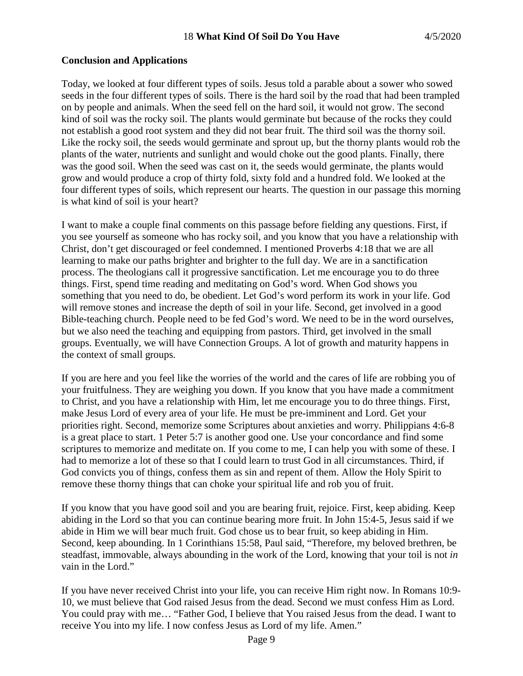### **Conclusion and Applications**

Today, we looked at four different types of soils. Jesus told a parable about a sower who sowed seeds in the four different types of soils. There is the hard soil by the road that had been trampled on by people and animals. When the seed fell on the hard soil, it would not grow. The second kind of soil was the rocky soil. The plants would germinate but because of the rocks they could not establish a good root system and they did not bear fruit. The third soil was the thorny soil. Like the rocky soil, the seeds would germinate and sprout up, but the thorny plants would rob the plants of the water, nutrients and sunlight and would choke out the good plants. Finally, there was the good soil. When the seed was cast on it, the seeds would germinate, the plants would grow and would produce a crop of thirty fold, sixty fold and a hundred fold. We looked at the four different types of soils, which represent our hearts. The question in our passage this morning is what kind of soil is your heart?

I want to make a couple final comments on this passage before fielding any questions. First, if you see yourself as someone who has rocky soil, and you know that you have a relationship with Christ, don't get discouraged or feel condemned. I mentioned Proverbs 4:18 that we are all learning to make our paths brighter and brighter to the full day. We are in a sanctification process. The theologians call it progressive sanctification. Let me encourage you to do three things. First, spend time reading and meditating on God's word. When God shows you something that you need to do, be obedient. Let God's word perform its work in your life. God will remove stones and increase the depth of soil in your life. Second, get involved in a good Bible-teaching church. People need to be fed God's word. We need to be in the word ourselves, but we also need the teaching and equipping from pastors. Third, get involved in the small groups. Eventually, we will have Connection Groups. A lot of growth and maturity happens in the context of small groups.

If you are here and you feel like the worries of the world and the cares of life are robbing you of your fruitfulness. They are weighing you down. If you know that you have made a commitment to Christ, and you have a relationship with Him, let me encourage you to do three things. First, make Jesus Lord of every area of your life. He must be pre-imminent and Lord. Get your priorities right. Second, memorize some Scriptures about anxieties and worry. Philippians 4:6-8 is a great place to start. 1 Peter 5:7 is another good one. Use your concordance and find some scriptures to memorize and meditate on. If you come to me, I can help you with some of these. I had to memorize a lot of these so that I could learn to trust God in all circumstances. Third, if God convicts you of things, confess them as sin and repent of them. Allow the Holy Spirit to remove these thorny things that can choke your spiritual life and rob you of fruit.

If you know that you have good soil and you are bearing fruit, rejoice. First, keep abiding. Keep abiding in the Lord so that you can continue bearing more fruit. In John 15:4-5, Jesus said if we abide in Him we will bear much fruit. God chose us to bear fruit, so keep abiding in Him. Second, keep abounding. In 1 Corinthians 15:58, Paul said, "Therefore, my beloved brethren, be steadfast, immovable, always abounding in the work of the Lord, knowing that your toil is not *in* vain in the Lord."

If you have never received Christ into your life, you can receive Him right now. In Romans 10:9- 10, we must believe that God raised Jesus from the dead. Second we must confess Him as Lord. You could pray with me… "Father God, I believe that You raised Jesus from the dead. I want to receive You into my life. I now confess Jesus as Lord of my life. Amen."